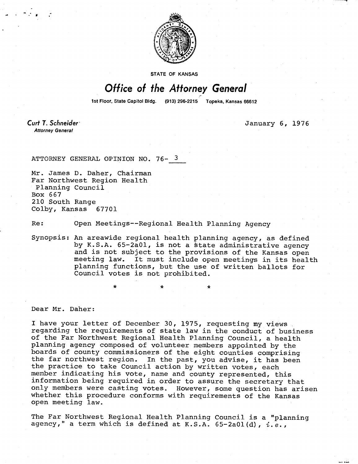

STATE OF KANSAS

## Office of the Attorney General

1st Floor, State Capitol Bldg. (913) 296-2215 Topeka, Kansas 66612

Curt T. Schneider **Attorney General** 

January 6, 1976

ATTORNEY GENERAL OPINION NO. 76- 3

Mr. James D. Daher, Chairman Far Northwest Region Health Planning Council Box 667 210 South Range Colby, Kansas 67701

Re: Open Meetings--Regional Health Planning Agency

\*

Synopsis: An areawide regional health planning agency, as defined by K.S.A. 65-2a01, is not a state administrative agency and is not subject to the provisions of the Kansas open meeting law. It must include open meetings in its health planning functions, but the use of written ballots for Council votes is not prohibited.

Dear Mr. Daher:

I have your letter of December 30, 1975, requesting my views regarding the requirements of state law in the conduct of business of the Far Northwest Regional Health Planning Council, a health planning agency composed of volunteer members appointed by the boards of county commissioners of the eight counties comprising the far northwest region. In the past, you advise, it has been the practice to take Council action by written votes, each member indicating his vote, name and county represented, this information being required in order to assure the secretary that only members were casting votes. However, some question has arisen whether this procedure conforms with requirements of the Kansas open meeting law.

The Far Northwest Regional Health Planning Council is a "planning agency," a term which is defined at K.S.A.  $65-2a01(d)$ ,  $i.e.,$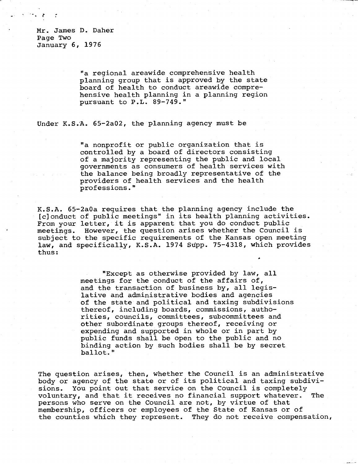Mr. James D. Daher Page Two January 6, 1976

> "a regional areawide comprehensive health planning group that is approved by the state board of health to conduct areawide comprehensive health planning in a planning region pursuant to P.L. 89-749."

Under K.S.A. 65-2a02, the planning agency must be

"a nonprofit or public organization that is controlled by a board of directors consisting of a majority representing the public and local governments as consumers of health services with the balance being broadly representative of the providers of health services and the health professions."

K.S.A. 65-2a0a requires that the planning agency include the [c]onduct of public meetings" in its health planning activities. From your letter, it is apparent that you do conduct public meetings. However, the question arises whether the Council is subject to the specific requirements of the Kansas open meeting law, and specifically, K.S.A. 1974 Supp. 75-4318, which provides thus:

> "Except as otherwise provided by law, all meetings for the conduct of the affairs of, and the transaction of business by, all legislative and administrative bodies and agencies of the state and political and taxing subdivisions thereof, including boards, commissions, authorities, councils, committees, subcommittees and other subordinate groups thereof, receiving or expending and supported in whole or in part by public funds shall be open to the public and no binding action by such bodies shall be by secret ballot."

The question arises, then, whether the Council is an administrative body or agency of the state or of its political and taxing subdivisions. You point out that service on the Council is completely voluntary, and that it receives no financial support whatever. The persons who serve on the Council are not, by virtue of that membership, officers or employees of the State of Kansas or of the counties which they represent. They do not receive compensation,